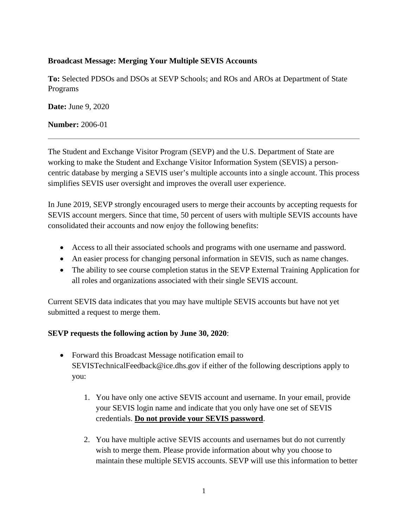## **Broadcast Message: Merging Your Multiple SEVIS Accounts**

**To:** Selected PDSOs and DSOs at SEVP Schools; and ROs and AROs at Department of State Programs

**Date:** June 9, 2020

**Number:** 2006-01

The Student and Exchange Visitor Program (SEVP) and the U.S. Department of State are working to make the Student and Exchange Visitor Information System (SEVIS) a personcentric database by merging a SEVIS user's multiple accounts into a single account. This process simplifies SEVIS user oversight and improves the overall user experience.

In June 2019, SEVP strongly encouraged users to merge their accounts by accepting requests for SEVIS account mergers. Since that time, 50 percent of users with multiple SEVIS accounts have consolidated their accounts and now enjoy the following benefits:

- Access to all their associated schools and programs with one username and password.
- An easier process for changing personal information in SEVIS, such as name changes.
- The ability to see course completion status in the SEVP External Training Application for all roles and organizations associated with their single SEVIS account.

Current SEVIS data indicates that you may have multiple SEVIS accounts but have not yet submitted a request to merge them.

## **SEVP requests the following action by June 30, 2020**:

- Forward this Broadcast Message notification email to SEVISTechnicalFeedback@ice.dhs.gov if either of the following descriptions apply to you:
	- 1. You have only one active SEVIS account and username. In your email, provide your SEVIS login name and indicate that you only have one set of SEVIS credentials. **Do not provide your SEVIS password**.
	- 2. You have multiple active SEVIS accounts and usernames but do not currently wish to merge them. Please provide information about why you choose to maintain these multiple SEVIS accounts. SEVP will use this information to better